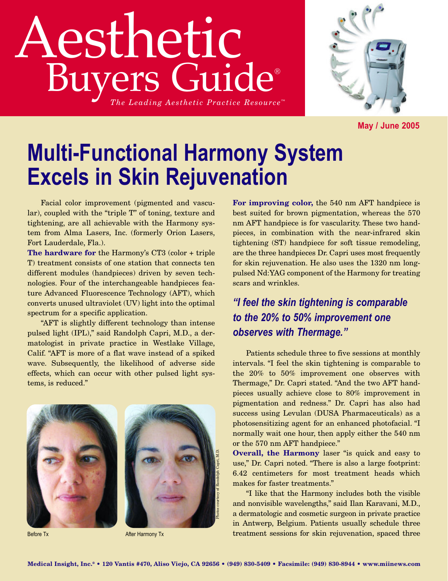## Aesthetic Buyers Guide® *The Leading Aesthetic Practice Resource ™*



**May / June 2005**

## **Multi-Functional Harmony System Excels in Skin Rejuvenation**

Facial color improvement (pigmented and vascular), coupled with the "triple T" of toning, texture and tightening, are all achievable with the Harmony system from Alma Lasers, Inc. (formerly Orion Lasers, Fort Lauderdale, Fla.).

**The hardware for** the Harmony's CT3 (color + triple T) treatment consists of one station that connects ten different modules (handpieces) driven by seven technologies. Four of the interchangeable handpieces feature Advanced Fluorescence Technology (AFT), which converts unused ultraviolet (UV) light into the optimal spectrum for a specific application.

"AFT is slightly different technology than intense pulsed light (IPL)," said Randolph Capri, M.D., a dermatologist in private practice in Westlake Village, Calif. "AFT is more of a flat wave instead of a spiked wave. Subsequently, the likelihood of adverse side effects, which can occur with other pulsed light systems, is reduced."





Before Tx After Harmony Tx

**For improving color,** the 540 nm AFT handpiece is best suited for brown pigmentation, whereas the 570 nm AFT handpiece is for vascularity. These two handpieces, in combination with the near-infrared skin tightening (ST) handpiece for soft tissue remodeling, are the three handpieces Dr. Capri uses most frequently for skin rejuvenation. He also uses the 1320 nm longpulsed Nd:YAG component of the Harmony for treating scars and wrinkles.

*"I feel the skin tightening is comparable to the 20% to 50% improvement one observes with Thermage."*

Patients schedule three to five sessions at monthly intervals. "I feel the skin tightening is comparable to the 20% to 50% improvement one observes with Thermage," Dr. Capri stated. "And the two AFT handpieces usually achieve close to 80% improvement in pigmentation and redness." Dr. Capri has also had success using Levulan (DUSA Pharmaceuticals) as a photosensitizing agent for an enhanced photofacial. "I normally wait one hour, then apply either the 540 nm or the 570 nm AFT handpiece."

**Overall, the Harmony** laser "is quick and easy to use," Dr. Capri noted. "There is also a large footprint: 6.42 centimeters for most treatment heads which makes for faster treatments."

"I like that the Harmony includes both the visible and nonvisible wavelengths," said Ilan Karavani, M.D., a dermatologic and cosmetic surgeon in private practice in Antwerp, Belgium. Patients usually schedule three treatment sessions for skin rejuvenation, spaced three